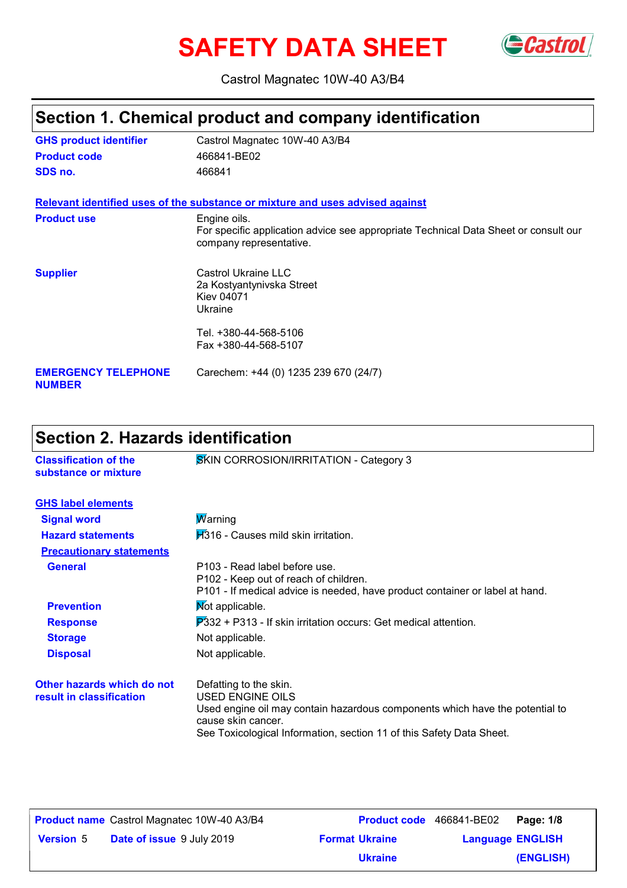# SAFETY DATA SHEET Gastrol



Castrol Magnatec 10W-40 A3/B4

# **Section 1. Chemical product and company identification**

| <b>GHS product identifier</b>               | Castrol Magnatec 10W-40 A3/B4                                                                                                  |
|---------------------------------------------|--------------------------------------------------------------------------------------------------------------------------------|
| <b>Product code</b>                         | 466841-BE02                                                                                                                    |
| SDS no.                                     | 466841                                                                                                                         |
|                                             | Relevant identified uses of the substance or mixture and uses advised against                                                  |
| <b>Product use</b>                          | Engine oils.<br>For specific application advice see appropriate Technical Data Sheet or consult our<br>company representative. |
| <b>Supplier</b>                             | Castrol Ukraine LLC<br>2a Kostyantynivska Street<br>Kiev 04071<br>Ukraine                                                      |
|                                             | Tel. +380-44-568-5106<br>Fax +380-44-568-5107                                                                                  |
| <b>EMERGENCY TELEPHONE</b><br><b>NUMBER</b> | Carechem: +44 (0) 1235 239 670 (24/7)                                                                                          |

# **Section 2. Hazards identification**

| <b>Classification of the</b><br>substance or mixture   | SKIN CORROSION/IRRITATION - Category 3                                                                                                                                                                                          |
|--------------------------------------------------------|---------------------------------------------------------------------------------------------------------------------------------------------------------------------------------------------------------------------------------|
| <b>GHS label elements</b>                              |                                                                                                                                                                                                                                 |
| <b>Signal word</b>                                     | <b>Marning</b>                                                                                                                                                                                                                  |
| <b>Hazard statements</b>                               | $H316$ - Causes mild skin irritation.                                                                                                                                                                                           |
| <b>Precautionary statements</b>                        |                                                                                                                                                                                                                                 |
| <b>General</b>                                         | P103 - Read label before use.<br>P102 - Keep out of reach of children.<br>P101 - If medical advice is needed, have product container or label at hand.                                                                          |
| <b>Prevention</b>                                      | Not applicable.                                                                                                                                                                                                                 |
| <b>Response</b>                                        | $\overline{P}332$ + P313 - If skin irritation occurs: Get medical attention.                                                                                                                                                    |
| <b>Storage</b>                                         | Not applicable.                                                                                                                                                                                                                 |
| <b>Disposal</b>                                        | Not applicable.                                                                                                                                                                                                                 |
| Other hazards which do not<br>result in classification | Defatting to the skin.<br><b>USED ENGINE OILS</b><br>Used engine oil may contain hazardous components which have the potential to<br>cause skin cancer.<br>See Toxicological Information, section 11 of this Safety Data Sheet. |

|                  | <b>Product name</b> Castrol Magnatec 10W-40 A3/B4 |                       | Product code 466841-BE02 | Page: 1/8 |
|------------------|---------------------------------------------------|-----------------------|--------------------------|-----------|
| <b>Version 5</b> | <b>Date of issue</b> 9 July 2019                  | <b>Format Ukraine</b> | <b>Language ENGLISH</b>  |           |
|                  |                                                   | <b>Ukraine</b>        |                          | (ENGLISH) |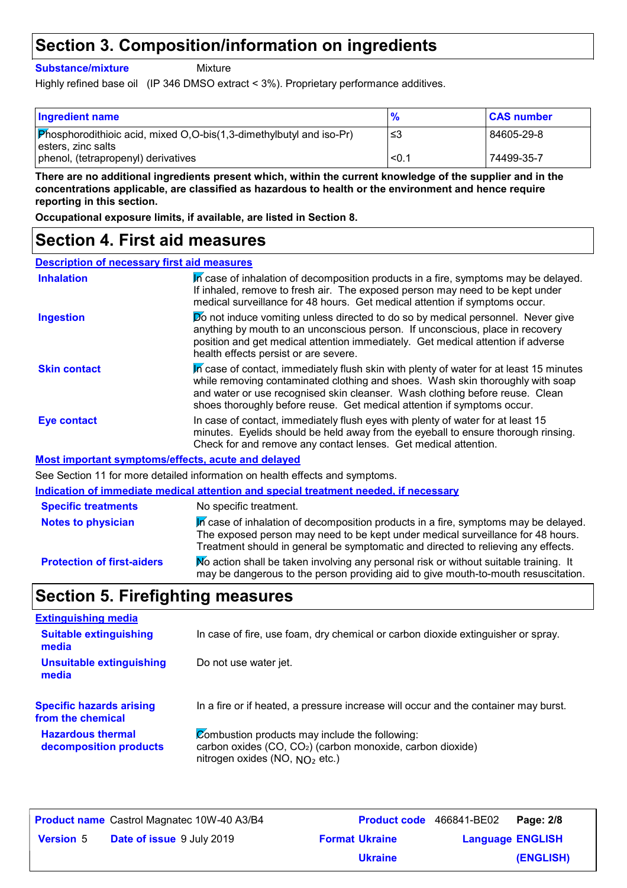### **Section 3. Composition/information on ingredients**

**Substance/mixture**

Mixture

Highly refined base oil (IP 346 DMSO extract < 3%). Proprietary performance additives.

| <b>Ingredient name</b>                                                                                     | $\frac{9}{6}$ | <b>CAS number</b> |
|------------------------------------------------------------------------------------------------------------|---------------|-------------------|
| $\boxed{\text{Phosphorodithioic acid, mixed O,O-bis(1,3-dimethylbutyl and iso-Pr)}}$<br>esters, zinc salts | -≤3           | 84605-29-8        |
| phenol, (tetrapropenyl) derivatives                                                                        | < 0.1         | 74499-35-7        |

**There are no additional ingredients present which, within the current knowledge of the supplier and in the concentrations applicable, are classified as hazardous to health or the environment and hence require reporting in this section.**

**Occupational exposure limits, if available, are listed in Section 8.**

### **Section 4. First aid measures**

| <b>Description of necessary first aid measures</b> |
|----------------------------------------------------|
|----------------------------------------------------|

| <b>Inhalation</b>          | In case of inhalation of decomposition products in a fire, symptoms may be delayed.<br>If inhaled, remove to fresh air. The exposed person may need to be kept under<br>medical surveillance for 48 hours. Get medical attention if symptoms occur.                                                                                  |
|----------------------------|--------------------------------------------------------------------------------------------------------------------------------------------------------------------------------------------------------------------------------------------------------------------------------------------------------------------------------------|
| <b>Ingestion</b>           | Do not induce vomiting unless directed to do so by medical personnel. Never give<br>anything by mouth to an unconscious person. If unconscious, place in recovery<br>position and get medical attention immediately. Get medical attention if adverse<br>health effects persist or are severe.                                       |
| <b>Skin contact</b>        | In case of contact, immediately flush skin with plenty of water for at least 15 minutes<br>while removing contaminated clothing and shoes. Wash skin thoroughly with soap<br>and water or use recognised skin cleanser. Wash clothing before reuse. Clean<br>shoes thoroughly before reuse. Get medical attention if symptoms occur. |
| <b>Eye contact</b>         | In case of contact, immediately flush eyes with plenty of water for at least 15<br>minutes. Eyelids should be held away from the eyeball to ensure thorough rinsing.<br>Check for and remove any contact lenses. Get medical attention.                                                                                              |
|                            | <b>Most important symptoms/effects, acute and delayed</b>                                                                                                                                                                                                                                                                            |
|                            | See Section 11 for more detailed information on health effects and symptoms.                                                                                                                                                                                                                                                         |
|                            | Indication of immediate medical attention and special treatment needed, if necessary                                                                                                                                                                                                                                                 |
| <b>Specific treatments</b> | No specific treatment.                                                                                                                                                                                                                                                                                                               |
| <b>Notes to physician</b>  | In case of inhalation of decomposition products in a fire, symptoms may be delayed.<br>The exposed person may need to be kept under medical surveillance for 48 hours.<br>Treatment should in general be symptomatic and directed to relieving any effects.                                                                          |

### **Section 5. Firefighting measures**

| <b>Extinguishing media</b>                           |                                                                                                                                                              |
|------------------------------------------------------|--------------------------------------------------------------------------------------------------------------------------------------------------------------|
| <b>Suitable extinguishing</b><br>media               | In case of fire, use foam, dry chemical or carbon dioxide extinguisher or spray.                                                                             |
| <b>Unsuitable extinguishing</b><br>media             | Do not use water jet.                                                                                                                                        |
| <b>Specific hazards arising</b><br>from the chemical | In a fire or if heated, a pressure increase will occur and the container may burst.                                                                          |
| <b>Hazardous thermal</b><br>decomposition products   | Combustion products may include the following:<br>carbon oxides (CO, CO <sub>2</sub> ) (carbon monoxide, carbon dioxide)<br>nitrogen oxides (NO, $NO2$ etc.) |

**Protection of first-aiders** Mo action shall be taken involving any personal risk or without suitable training. It

may be dangerous to the person providing aid to give mouth-to-mouth resuscitation.

|                  | <b>Product name</b> Castrol Magnatec 10W-40 A3/B4 |                       | <b>Product code</b> 466841-BE02 | Page: 2/8 |
|------------------|---------------------------------------------------|-----------------------|---------------------------------|-----------|
| <b>Version</b> 5 | <b>Date of issue 9 July 2019</b>                  | <b>Format Ukraine</b> | <b>Language ENGLISH</b>         |           |
|                  |                                                   | <b>Ukraine</b>        |                                 | (ENGLISH) |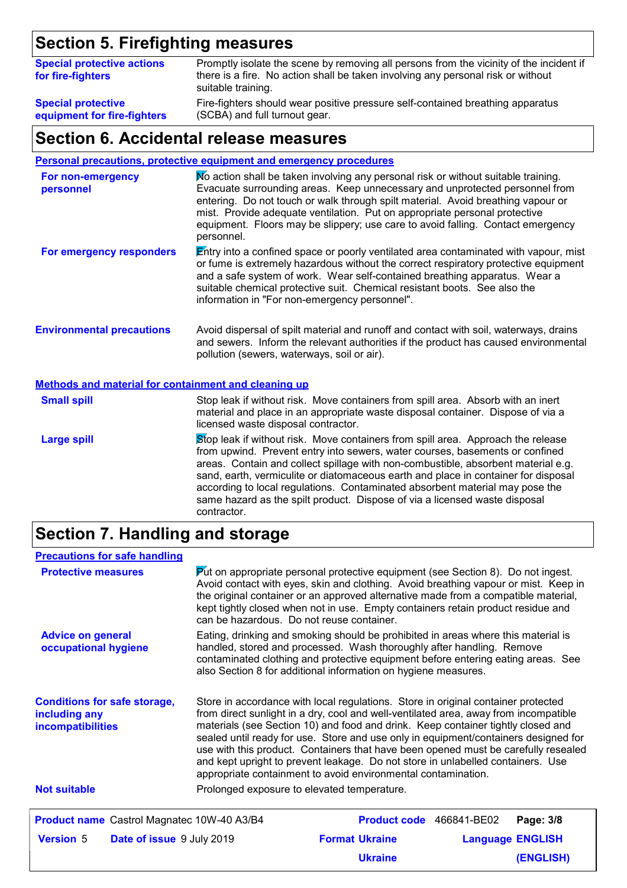# **Section 5. Firefighting measures**

| <b>Special protective actions</b><br>for fire-fighters | Promptly isolate the scene by removing all persons from the vicinity of the incident if<br>there is a fire. No action shall be taken involving any personal risk or without<br>suitable training. |
|--------------------------------------------------------|---------------------------------------------------------------------------------------------------------------------------------------------------------------------------------------------------|
| <b>Special protective</b>                              | Fire-fighters should wear positive pressure self-contained breathing apparatus                                                                                                                    |
| equipment for fire-fighters                            | (SCBA) and full turnout gear.                                                                                                                                                                     |

### **Section 6. Accidental release measures**

**Personal precautions, protective equipment and emergency procedures**

| For non-emergency<br>personnel                              | No action shall be taken involving any personal risk or without suitable training.<br>Evacuate surrounding areas. Keep unnecessary and unprotected personnel from<br>entering. Do not touch or walk through spilt material. Avoid breathing vapour or<br>mist. Provide adequate ventilation. Put on appropriate personal protective<br>equipment. Floors may be slippery; use care to avoid falling. Contact emergency<br>personnel.                                                    |
|-------------------------------------------------------------|-----------------------------------------------------------------------------------------------------------------------------------------------------------------------------------------------------------------------------------------------------------------------------------------------------------------------------------------------------------------------------------------------------------------------------------------------------------------------------------------|
| For emergency responders                                    | Entry into a confined space or poorly ventilated area contaminated with vapour, mist<br>or fume is extremely hazardous without the correct respiratory protective equipment<br>and a safe system of work. Wear self-contained breathing apparatus. Wear a<br>suitable chemical protective suit. Chemical resistant boots. See also the<br>information in "For non-emergency personnel".                                                                                                 |
| <b>Environmental precautions</b>                            | Avoid dispersal of spilt material and runoff and contact with soil, waterways, drains<br>and sewers. Inform the relevant authorities if the product has caused environmental<br>pollution (sewers, waterways, soil or air).                                                                                                                                                                                                                                                             |
| <b>Methods and material for containment and cleaning up</b> |                                                                                                                                                                                                                                                                                                                                                                                                                                                                                         |
| <b>Small spill</b>                                          | Stop leak if without risk. Move containers from spill area. Absorb with an inert<br>material and place in an appropriate waste disposal container. Dispose of via a<br>licensed waste disposal contractor.                                                                                                                                                                                                                                                                              |
| <b>Large spill</b>                                          | Stop leak if without risk. Move containers from spill area. Approach the release<br>from upwind. Prevent entry into sewers, water courses, basements or confined<br>areas. Contain and collect spillage with non-combustible, absorbent material e.g.<br>to conflict the constant fluid and all the company of the control of the conflict of the conflict of the control of the control of the control of the control of the control of the control of the control of the control of t |

sand, earth, vermiculite or diatomaceous earth and place in container for disposal according to local regulations. Contaminated absorbent material may pose the same hazard as the spilt product. Dispose of via a licensed waste disposal contractor.

# **Section 7. Handling and storage**

| <b>Precautions for safe handling</b>                 |                                                                                                                                                                                                                                                                                                                                                                                                                   |
|------------------------------------------------------|-------------------------------------------------------------------------------------------------------------------------------------------------------------------------------------------------------------------------------------------------------------------------------------------------------------------------------------------------------------------------------------------------------------------|
| <b>Protective measures</b>                           | $\blacktriangleright$ to appropriate personal protective equipment (see Section 8). Do not ingest.<br>Avoid contact with eyes, skin and clothing. Avoid breathing vapour or mist. Keep in<br>the original container or an approved alternative made from a compatible material,<br>kept tightly closed when not in use. Empty containers retain product residue and<br>can be hazardous. Do not reuse container.  |
| <b>Advice on general</b><br>occupational hygiene     | Eating, drinking and smoking should be prohibited in areas where this material is<br>handled, stored and processed. Wash thoroughly after handling. Remove<br>contaminated clothing and protective equipment before entering eating areas. See<br>also Section 8 for additional information on hygiene measures.                                                                                                  |
| <b>Conditions for safe storage,</b><br>including any | Store in accordance with local regulations. Store in original container protected<br>from direct sunlight in a dry, cool and well-ventilated area, away from incompatible                                                                                                                                                                                                                                         |
| incompatibilities                                    | materials (see Section 10) and food and drink. Keep container tightly closed and<br>sealed until ready for use. Store and use only in equipment/containers designed for<br>use with this product. Containers that have been opened must be carefully resealed<br>and kept upright to prevent leakage. Do not store in unlabelled containers. Use<br>appropriate containment to avoid environmental contamination. |
| <b>Not suitable</b>                                  | Prolonged exposure to elevated temperature.                                                                                                                                                                                                                                                                                                                                                                       |
| Product name Castrol Magnatec 10W-40 A3/B4           | Product code 466841-BE02<br>Page: 3/8                                                                                                                                                                                                                                                                                                                                                                             |
| <b>Version</b> 5<br><b>Date of issue 9 July 2019</b> | <b>Format Ukraine</b><br><b>Language ENGLISH</b>                                                                                                                                                                                                                                                                                                                                                                  |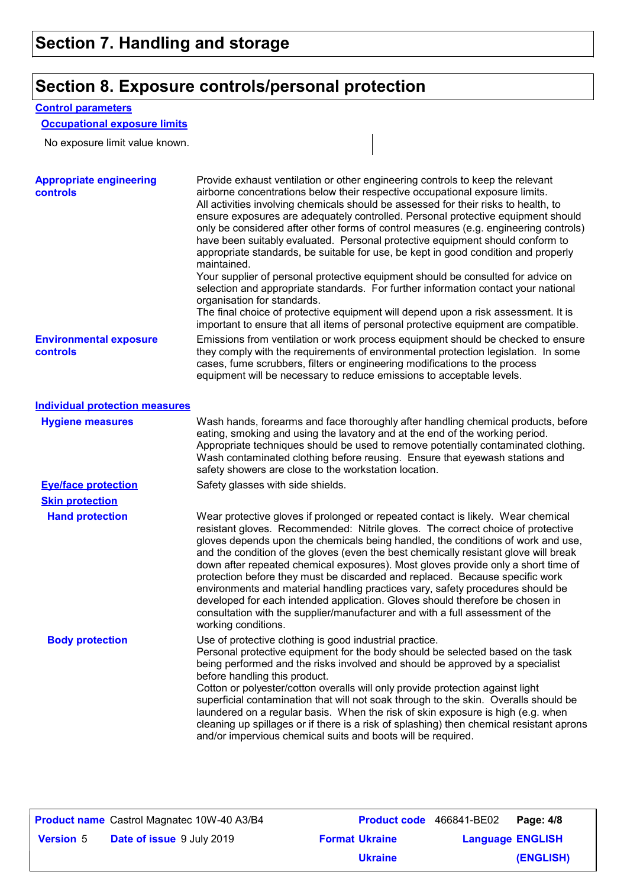# **Section 8. Exposure controls/personal protection**

#### **Control parameters**

### **Occupational exposure limits**

No exposure limit value known.

| <b>Appropriate engineering</b><br><b>controls</b> | Provide exhaust ventilation or other engineering controls to keep the relevant<br>airborne concentrations below their respective occupational exposure limits.<br>All activities involving chemicals should be assessed for their risks to health, to<br>ensure exposures are adequately controlled. Personal protective equipment should<br>only be considered after other forms of control measures (e.g. engineering controls)<br>have been suitably evaluated. Personal protective equipment should conform to<br>appropriate standards, be suitable for use, be kept in good condition and properly<br>maintained.<br>Your supplier of personal protective equipment should be consulted for advice on<br>selection and appropriate standards. For further information contact your national<br>organisation for standards.<br>The final choice of protective equipment will depend upon a risk assessment. It is<br>important to ensure that all items of personal protective equipment are compatible. |
|---------------------------------------------------|---------------------------------------------------------------------------------------------------------------------------------------------------------------------------------------------------------------------------------------------------------------------------------------------------------------------------------------------------------------------------------------------------------------------------------------------------------------------------------------------------------------------------------------------------------------------------------------------------------------------------------------------------------------------------------------------------------------------------------------------------------------------------------------------------------------------------------------------------------------------------------------------------------------------------------------------------------------------------------------------------------------|
| <b>Environmental exposure</b><br>controls         | Emissions from ventilation or work process equipment should be checked to ensure<br>they comply with the requirements of environmental protection legislation. In some<br>cases, fume scrubbers, filters or engineering modifications to the process<br>equipment will be necessary to reduce emissions to acceptable levels.                                                                                                                                                                                                                                                                                                                                                                                                                                                                                                                                                                                                                                                                                 |
| <b>Individual protection measures</b>             |                                                                                                                                                                                                                                                                                                                                                                                                                                                                                                                                                                                                                                                                                                                                                                                                                                                                                                                                                                                                               |
| <b>Hygiene measures</b>                           | Wash hands, forearms and face thoroughly after handling chemical products, before<br>eating, smoking and using the lavatory and at the end of the working period.<br>Appropriate techniques should be used to remove potentially contaminated clothing.<br>Wash contaminated clothing before reusing. Ensure that eyewash stations and<br>safety showers are close to the workstation location.                                                                                                                                                                                                                                                                                                                                                                                                                                                                                                                                                                                                               |
| <b>Eye/face protection</b>                        | Safety glasses with side shields.                                                                                                                                                                                                                                                                                                                                                                                                                                                                                                                                                                                                                                                                                                                                                                                                                                                                                                                                                                             |
| <b>Skin protection</b>                            |                                                                                                                                                                                                                                                                                                                                                                                                                                                                                                                                                                                                                                                                                                                                                                                                                                                                                                                                                                                                               |
| <b>Hand protection</b>                            | Wear protective gloves if prolonged or repeated contact is likely. Wear chemical<br>resistant gloves. Recommended: Nitrile gloves. The correct choice of protective<br>gloves depends upon the chemicals being handled, the conditions of work and use,<br>and the condition of the gloves (even the best chemically resistant glove will break<br>down after repeated chemical exposures). Most gloves provide only a short time of<br>protection before they must be discarded and replaced. Because specific work<br>environments and material handling practices vary, safety procedures should be<br>developed for each intended application. Gloves should therefore be chosen in<br>consultation with the supplier/manufacturer and with a full assessment of the<br>working conditions.                                                                                                                                                                                                               |
| <b>Body protection</b>                            | Use of protective clothing is good industrial practice<br>Personal protective equipment for the body should be selected based on the task<br>being performed and the risks involved and should be approved by a specialist<br>before handling this product.<br>Cotton or polyester/cotton overalls will only provide protection against light<br>superficial contamination that will not soak through to the skin. Overalls should be<br>laundered on a regular basis. When the risk of skin exposure is high (e.g. when<br>cleaning up spillages or if there is a risk of splashing) then chemical resistant aprons<br>and/or impervious chemical suits and boots will be required.                                                                                                                                                                                                                                                                                                                          |

|                  | <b>Product name</b> Castrol Magnatec 10W-40 A3/B4 | <b>Product code</b> 466841-BE02 |                         | Page: 4/8 |
|------------------|---------------------------------------------------|---------------------------------|-------------------------|-----------|
| <b>Version 5</b> | <b>Date of issue</b> 9 July 2019                  | <b>Format Ukraine</b>           | <b>Language ENGLISH</b> |           |
|                  |                                                   | <b>Ukraine</b>                  |                         | (ENGLISH) |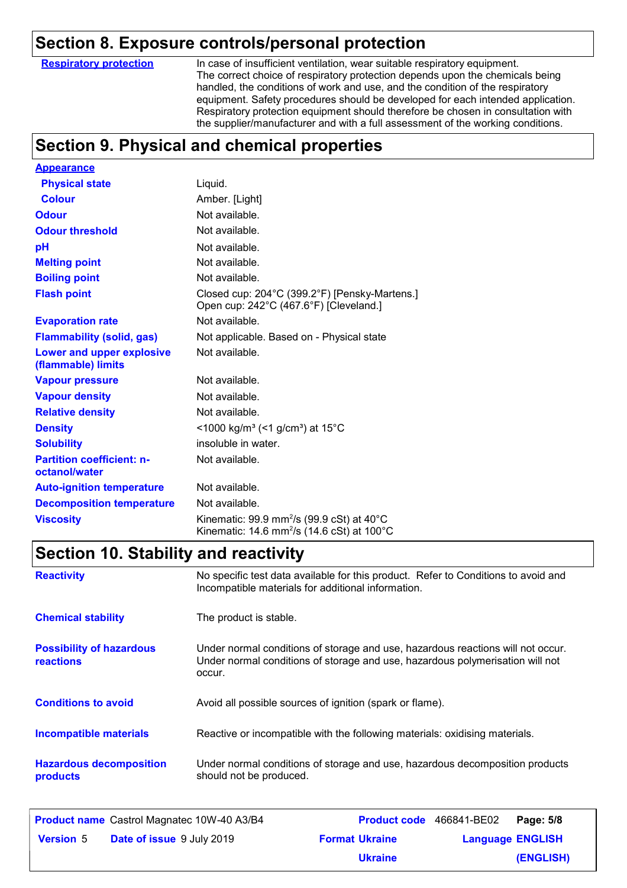### **Section 8. Exposure controls/personal protection**

**Respiratory protection**

In case of insufficient ventilation, wear suitable respiratory equipment. The correct choice of respiratory protection depends upon the chemicals being handled, the conditions of work and use, and the condition of the respiratory equipment. Safety procedures should be developed for each intended application. Respiratory protection equipment should therefore be chosen in consultation with the supplier/manufacturer and with a full assessment of the working conditions.

# **Section 9. Physical and chemical properties**

| <b>Appearance</b>                                      |                                                                                                                                       |
|--------------------------------------------------------|---------------------------------------------------------------------------------------------------------------------------------------|
| <b>Physical state</b>                                  | Liquid.                                                                                                                               |
| <b>Colour</b>                                          | Amber. [Light]                                                                                                                        |
| <b>Odour</b>                                           | Not available.                                                                                                                        |
| <b>Odour threshold</b>                                 | Not available.                                                                                                                        |
| рH                                                     | Not available.                                                                                                                        |
| <b>Melting point</b>                                   | Not available.                                                                                                                        |
| <b>Boiling point</b>                                   | Not available.                                                                                                                        |
| <b>Flash point</b>                                     | Closed cup: 204°C (399.2°F) [Pensky-Martens.]<br>Open cup: 242°C (467.6°F) [Cleveland.]                                               |
| <b>Evaporation rate</b>                                | Not available.                                                                                                                        |
| <b>Flammability (solid, gas)</b>                       | Not applicable. Based on - Physical state                                                                                             |
| <b>Lower and upper explosive</b><br>(flammable) limits | Not available.                                                                                                                        |
| <b>Vapour pressure</b>                                 | Not available.                                                                                                                        |
| <b>Vapour density</b>                                  | Not available.                                                                                                                        |
| <b>Relative density</b>                                | Not available.                                                                                                                        |
| <b>Density</b>                                         | <1000 kg/m <sup>3</sup> (<1 g/cm <sup>3</sup> ) at 15 <sup>°</sup> C                                                                  |
| <b>Solubility</b>                                      | insoluble in water.                                                                                                                   |
| <b>Partition coefficient: n-</b><br>octanol/water      | Not available.                                                                                                                        |
| <b>Auto-ignition temperature</b>                       | Not available.                                                                                                                        |
| <b>Decomposition temperature</b>                       | Not available.                                                                                                                        |
| <b>Viscosity</b>                                       | Kinematic: 99.9 mm <sup>2</sup> /s (99.9 cSt) at 40 $^{\circ}$ C<br>Kinematic: 14.6 mm <sup>2</sup> /s (14.6 cSt) at 100 $^{\circ}$ C |

### **Section 10. Stability and reactivity**

| <b>Reactivity</b>                                   | No specific test data available for this product. Refer to Conditions to avoid and<br>Incompatible materials for additional information.                                   |
|-----------------------------------------------------|----------------------------------------------------------------------------------------------------------------------------------------------------------------------------|
| <b>Chemical stability</b>                           | The product is stable.                                                                                                                                                     |
| <b>Possibility of hazardous</b><br><b>reactions</b> | Under normal conditions of storage and use, hazardous reactions will not occur.<br>Under normal conditions of storage and use, hazardous polymerisation will not<br>occur. |
| <b>Conditions to avoid</b>                          | Avoid all possible sources of ignition (spark or flame).                                                                                                                   |
| <b>Incompatible materials</b>                       | Reactive or incompatible with the following materials: oxidising materials.                                                                                                |
| <b>Hazardous decomposition</b><br>products          | Under normal conditions of storage and use, hazardous decomposition products<br>should not be produced.                                                                    |

|                  | <b>Product name</b> Castrol Magnatec 10W-40 A3/B4 |                       | Product code 466841-BE02 | Page: 5/8 |
|------------------|---------------------------------------------------|-----------------------|--------------------------|-----------|
| <b>Version 5</b> | <b>Date of issue</b> 9 July 2019                  | <b>Format Ukraine</b> | <b>Language ENGLISH</b>  |           |
|                  |                                                   | <b>Ukraine</b>        |                          | (ENGLISH) |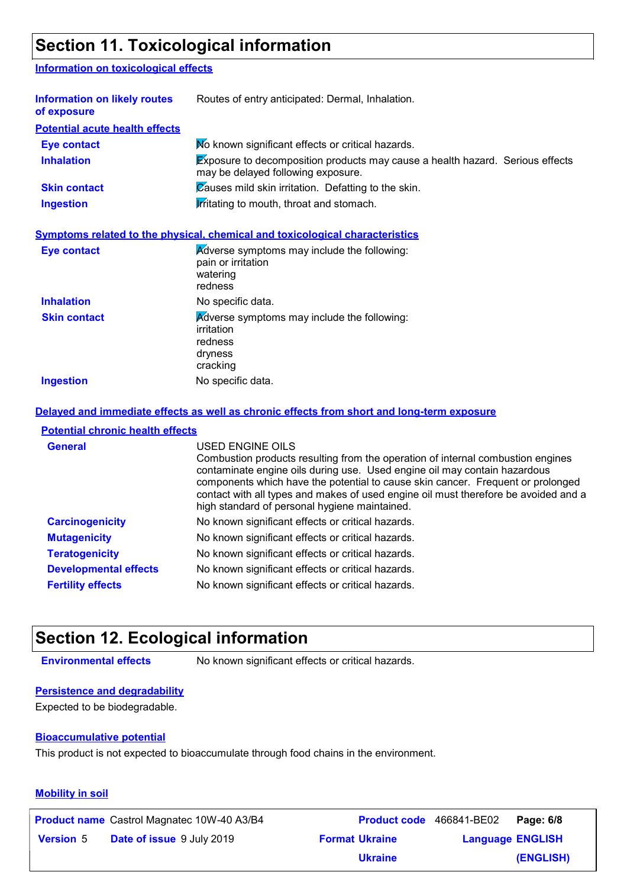# **Section 11. Toxicological information**

#### **Information on toxicological effects**

| Information on likely routes<br>of exposure | Routes of entry anticipated: Dermal, Inhalation.                                                                           |  |
|---------------------------------------------|----------------------------------------------------------------------------------------------------------------------------|--|
| <b>Potential acute health effects</b>       |                                                                                                                            |  |
| <b>Eye contact</b>                          | Mo known significant effects or critical hazards.                                                                          |  |
| <b>Inhalation</b>                           | <b>Exposure to decomposition products may cause a health hazard. Serious effects</b><br>may be delayed following exposure. |  |
| <b>Skin contact</b>                         | Causes mild skin irritation. Defatting to the skin.                                                                        |  |
| <b>Ingestion</b>                            | <b>Irritating to mouth, throat and stomach.</b>                                                                            |  |
|                                             | Symptoms related to the physical, chemical and toxicological characteristics                                               |  |
| <b>Eye contact</b>                          | Adverse symptoms may include the following:<br>pain or irritation<br>watering                                              |  |

|                     | watering<br>redness                                                                         |
|---------------------|---------------------------------------------------------------------------------------------|
| <b>Inhalation</b>   | No specific data.                                                                           |
| <b>Skin contact</b> | Adverse symptoms may include the following:<br>irritation<br>redness<br>dryness<br>cracking |
| <b>Ingestion</b>    | No specific data.                                                                           |

#### **Delayed and immediate effects as well as chronic effects from short and long-term exposure**

#### **Potential chronic health effects**

| <b>General</b>               | USED ENGINE OILS<br>Combustion products resulting from the operation of internal combustion engines<br>contaminate engine oils during use. Used engine oil may contain hazardous<br>components which have the potential to cause skin cancer. Frequent or prolonged<br>contact with all types and makes of used engine oil must therefore be avoided and a<br>high standard of personal hygiene maintained. |
|------------------------------|-------------------------------------------------------------------------------------------------------------------------------------------------------------------------------------------------------------------------------------------------------------------------------------------------------------------------------------------------------------------------------------------------------------|
| <b>Carcinogenicity</b>       | No known significant effects or critical hazards.                                                                                                                                                                                                                                                                                                                                                           |
| <b>Mutagenicity</b>          | No known significant effects or critical hazards.                                                                                                                                                                                                                                                                                                                                                           |
| <b>Teratogenicity</b>        | No known significant effects or critical hazards.                                                                                                                                                                                                                                                                                                                                                           |
| <b>Developmental effects</b> | No known significant effects or critical hazards.                                                                                                                                                                                                                                                                                                                                                           |
| <b>Fertility effects</b>     | No known significant effects or critical hazards.                                                                                                                                                                                                                                                                                                                                                           |

### **Section 12. Ecological information**

**Environmental effects** No known significant effects or critical hazards.

#### **Persistence and degradability**

Expected to be biodegradable.

#### **Bioaccumulative potential**

This product is not expected to bioaccumulate through food chains in the environment.

#### **Mobility in soil**

|                  | <b>Product name</b> Castrol Magnatec 10W-40 A3/B4 |                       | Product code 466841-BE02 | Page: 6/8 |
|------------------|---------------------------------------------------|-----------------------|--------------------------|-----------|
| <b>Version 5</b> | <b>Date of issue 9 July 2019</b>                  | <b>Format Ukraine</b> | <b>Language ENGLISH</b>  |           |
|                  |                                                   | <b>Ukraine</b>        |                          | (ENGLISH) |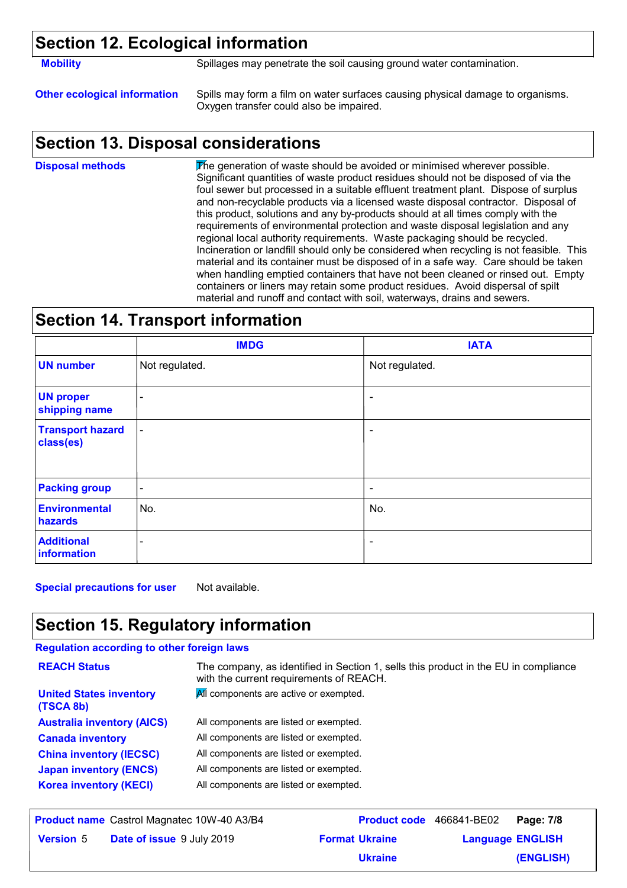### **Section 12. Ecological information**

**Mobility** Spillages may penetrate the soil causing ground water contamination.

**Other ecological information** Spills may form a film on water surfaces causing physical damage to organisms. Oxygen transfer could also be impaired.

### **Section 13. Disposal considerations**

The generation of waste should be avoided or minimised wherever possible. Significant quantities of waste product residues should not be disposed of via the foul sewer but processed in a suitable effluent treatment plant. Dispose of surplus and non-recyclable products via a licensed waste disposal contractor. Disposal of this product, solutions and any by-products should at all times comply with the requirements of environmental protection and waste disposal legislation and any regional local authority requirements. Waste packaging should be recycled. Incineration or landfill should only be considered when recycling is not feasible. This material and its container must be disposed of in a safe way. Care should be taken when handling emptied containers that have not been cleaned or rinsed out. Empty containers or liners may retain some product residues. Avoid dispersal of spilt material and runoff and contact with soil, waterways, drains and sewers. **Disposal methods**

### **Section 14. Transport information**

|                                      | <b>IMDG</b>              | <b>IATA</b>              |
|--------------------------------------|--------------------------|--------------------------|
| <b>UN number</b>                     | Not regulated.           | Not regulated.           |
| <b>UN proper</b><br>shipping name    | $\overline{\phantom{a}}$ |                          |
| <b>Transport hazard</b><br>class(es) | $\overline{\phantom{a}}$ | ۰                        |
| <b>Packing group</b>                 | $\overline{\phantom{a}}$ | $\overline{\phantom{a}}$ |
| <b>Environmental</b><br>hazards      | No.                      | No.                      |
| <b>Additional</b><br>information     |                          | $\overline{\phantom{a}}$ |

**Special precautions for user** Not available.

# **Section 15. Regulatory information**

#### **Regulation according to other foreign laws**

| <b>REACH Status</b>                               | The company, as identified in Section 1, sells this product in the EU in compliance<br>with the current requirements of REACH. |                                 |           |
|---------------------------------------------------|--------------------------------------------------------------------------------------------------------------------------------|---------------------------------|-----------|
| <b>United States inventory</b><br>(TSCA 8b)       | All components are active or exempted.                                                                                         |                                 |           |
| <b>Australia inventory (AICS)</b>                 | All components are listed or exempted.                                                                                         |                                 |           |
| <b>Canada inventory</b>                           | All components are listed or exempted.                                                                                         |                                 |           |
| <b>China inventory (IECSC)</b>                    | All components are listed or exempted.                                                                                         |                                 |           |
| <b>Japan inventory (ENCS)</b>                     | All components are listed or exempted.                                                                                         |                                 |           |
| <b>Korea inventory (KECI)</b>                     | All components are listed or exempted.                                                                                         |                                 |           |
|                                                   |                                                                                                                                |                                 |           |
| <b>Product name</b> Castrol Magnatec 10W-40 A3/B4 |                                                                                                                                | <b>Product code</b> 466841-BE02 | Page: 7/8 |

|                  | <b>Product name</b> Castrol Magnatec 10W-40 A3/B4 |                       | Product code 466841-BE02 | Page: 7/8 |
|------------------|---------------------------------------------------|-----------------------|--------------------------|-----------|
| <b>Version</b> 5 | <b>Date of issue</b> 9 July 2019                  | <b>Format Ukraine</b> | <b>Language ENGLISH</b>  |           |
|                  |                                                   | <b>Ukraine</b>        |                          | (ENGLISH) |